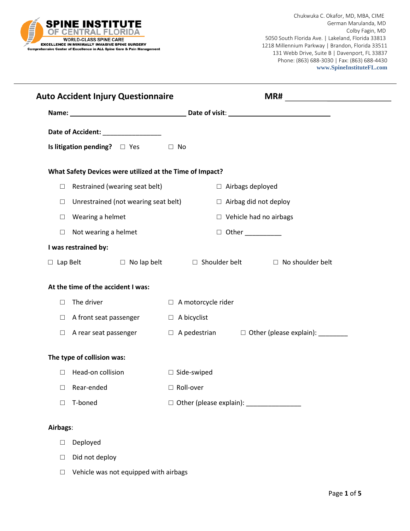

Chukwuka C. Okafor, MD, MBA, CIME German Marulanda, MD Colby Fagin, MD 5050 South Florida Ave. | Lakeland, Florida 33813 1218 Millennium Parkway | Brandon, Florida 33511 131 Webb Drive, Suite B | Davenport, FL 33837 Phone: (863) 688-3030 | Fax: (863) 688-4430  **www.SpineInstituteFL.com**

|          | <b>Auto Accident Injury Questionnaire</b>                |                                                                                 |  |
|----------|----------------------------------------------------------|---------------------------------------------------------------------------------|--|
|          |                                                          |                                                                                 |  |
|          | Date of Accident: __________________                     |                                                                                 |  |
|          | Is litigation pending? $\Box$ Yes $\Box$ No              |                                                                                 |  |
|          | What Safety Devices were utilized at the Time of Impact? |                                                                                 |  |
| $\Box$   | Restrained (wearing seat belt)                           | □ Airbags deployed                                                              |  |
| □        | Unrestrained (not wearing seat belt)                     | $\Box$ Airbag did not deploy                                                    |  |
| $\Box$   | Wearing a helmet                                         | $\Box$ Vehicle had no airbags                                                   |  |
| $\Box$   | Not wearing a helmet                                     | $\Box$ Other __________                                                         |  |
|          | I was restrained by:                                     |                                                                                 |  |
|          |                                                          | $\Box$ Lap Belt $\Box$ No lap belt $\Box$ Shoulder belt $\Box$ No shoulder belt |  |
|          | At the time of the accident I was:                       |                                                                                 |  |
|          | $\Box$ The driver                                        | $\Box$ A motorcycle rider                                                       |  |
|          | $\Box$ A front seat passenger                            | $\Box$ A bicyclist                                                              |  |
| $\Box$   | A rear seat passenger                                    | $\Box$ A pedestrian $\Box$ Other (please explain): ________                     |  |
|          | The type of collision was:                               |                                                                                 |  |
|          | $\Box$ Head-on collision                                 | $\Box$ Side-swiped                                                              |  |
|          | $\Box$ Rear-ended                                        | $\Box$ Roll-over                                                                |  |
| П        | T-boned                                                  |                                                                                 |  |
| Airbags: |                                                          |                                                                                 |  |
| $\Box$   | Deployed                                                 |                                                                                 |  |

- □ Did not deploy
- □ Vehicle was not equipped with airbags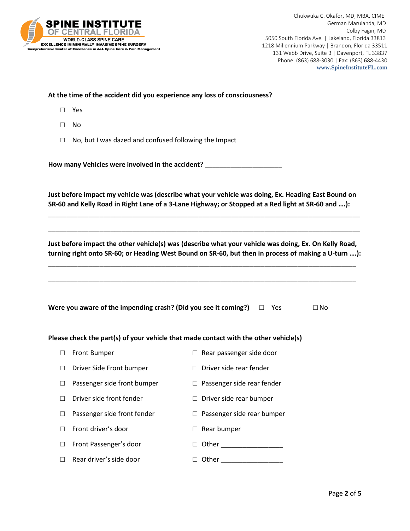

Chukwuka C. Okafor, MD, MBA, CIME German Marulanda, MD Colby Fagin, MD 5050 South Florida Ave. | Lakeland, Florida 33813 1218 Millennium Parkway | Brandon, Florida 33511 131 Webb Drive, Suite B | Davenport, FL 33837 Phone: (863) 688-3030 | Fax: (863) 688-4430  **www.SpineInstituteFL.com**

## **At the time of the accident did you experience any loss of consciousness?**

- □ Yes
- □ No
- □ No, but I was dazed and confused following the Impact

**How many Vehicles were involved in the accident**? \_\_\_\_\_\_\_\_\_\_\_\_\_\_\_\_\_\_\_\_\_

**Just before impact my vehicle was (describe what your vehicle was doing, Ex. Heading East Bound on SR-60 and Kelly Road in Right Lane of a 3-Lane Highway; or Stopped at a Red light at SR-60 and ….):**

\_\_\_\_\_\_\_\_\_\_\_\_\_\_\_\_\_\_\_\_\_\_\_\_\_\_\_\_\_\_\_\_\_\_\_\_\_\_\_\_\_\_\_\_\_\_\_\_\_\_\_\_\_\_\_\_\_\_\_\_\_\_\_\_\_\_\_\_\_\_\_\_\_\_\_\_\_\_\_\_\_\_\_\_\_

\_\_\_\_\_\_\_\_\_\_\_\_\_\_\_\_\_\_\_\_\_\_\_\_\_\_\_\_\_\_\_\_\_\_\_\_\_\_\_\_\_\_\_\_\_\_\_\_\_\_\_\_\_\_\_\_\_\_\_\_\_\_\_\_\_\_\_\_\_\_\_\_\_\_\_\_\_\_\_\_\_\_\_\_\_

**Just before impact the other vehicle(s) was (describe what your vehicle was doing, Ex. On Kelly Road, turning right onto SR-60; or Heading West Bound on SR-60, but then in process of making a U-turn ….):**

\_\_\_\_\_\_\_\_\_\_\_\_\_\_\_\_\_\_\_\_\_\_\_\_\_\_\_\_\_\_\_\_\_\_\_\_\_\_\_\_\_\_\_\_\_\_\_\_\_\_\_\_\_\_\_\_\_\_\_\_\_\_\_\_\_\_\_\_\_\_\_\_\_\_\_\_\_\_\_\_\_\_\_\_

\_\_\_\_\_\_\_\_\_\_\_\_\_\_\_\_\_\_\_\_\_\_\_\_\_\_\_\_\_\_\_\_\_\_\_\_\_\_\_\_\_\_\_\_\_\_\_\_\_\_\_\_\_\_\_\_\_\_\_\_\_\_\_\_\_\_\_\_\_\_\_\_\_\_\_\_\_\_\_\_\_\_\_\_

| Were you aware of the impending crash? (Did you see it coming?) $\square$ Yes |  |  | $\square$ No |
|-------------------------------------------------------------------------------|--|--|--------------|
|-------------------------------------------------------------------------------|--|--|--------------|

## **Please check the part(s) of your vehicle that made contact with the other vehicle(s)**

- □ Front Bumper □ Bear passenger side door
- □ Driver Side Front bumper □ Driver side rear fender
- □ Passenger side front bumper □ Passenger side rear fender
- □ Driver side front fender □ Driver side rear bumper
- □ Passenger side front fender □ □ Passenger side rear bumper
- □ Front driver's door □ Rear bumper
- □ Front Passenger's door □ Other
- □ Rear driver's side door □ Other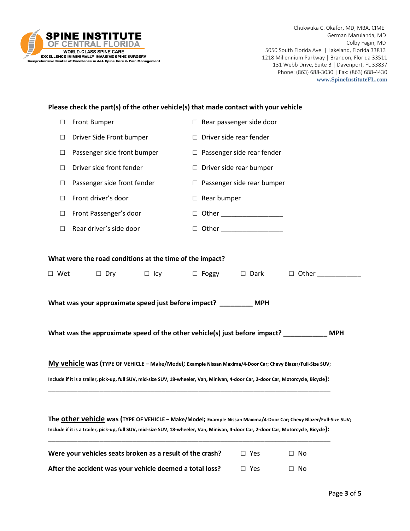

Chukwuka C. Okafor, MD, MBA, CIME German Marulanda, MD Colby Fagin, MD 5050 South Florida Ave. | Lakeland, Florida 33813 1218 Millennium Parkway | Brandon, Florida 33511 131 Webb Drive, Suite B | Davenport, FL 33837 Phone: (863) 688-3030 | Fax: (863) 688-4430  **www.SpineInstituteFL.com**

|            | Please check the part(s) of the other vehicle(s) that made contact with your vehicle |                                                                                                                                                                                                                                                            |
|------------|--------------------------------------------------------------------------------------|------------------------------------------------------------------------------------------------------------------------------------------------------------------------------------------------------------------------------------------------------------|
| $\Box$     | Front Bumper                                                                         | $\Box$ Rear passenger side door                                                                                                                                                                                                                            |
| $\Box$     | Driver Side Front bumper                                                             | Driver side rear fender<br>$\Box$                                                                                                                                                                                                                          |
| $\Box$     | Passenger side front bumper                                                          | $\Box$ Passenger side rear fender                                                                                                                                                                                                                          |
| $\Box$     | Driver side front fender                                                             | $\Box$ Driver side rear bumper                                                                                                                                                                                                                             |
| □          | Passenger side front fender                                                          | $\Box$ Passenger side rear bumper                                                                                                                                                                                                                          |
| $\Box$     | Front driver's door                                                                  | Rear bumper<br>$\Box$                                                                                                                                                                                                                                      |
| □          | Front Passenger's door                                                               | $\Box$                                                                                                                                                                                                                                                     |
| □          | Rear driver's side door                                                              | $\Box$                                                                                                                                                                                                                                                     |
|            |                                                                                      |                                                                                                                                                                                                                                                            |
|            | What were the road conditions at the time of the impact?                             |                                                                                                                                                                                                                                                            |
| $\Box$ Wet | $\Box$ Dry<br>$\Box$ Icy                                                             | $\Box$ Foggy<br>$\Box$ Dark<br>$\Box$ Other                                                                                                                                                                                                                |
|            | What was your approximate speed just before impact? _________ MPH                    |                                                                                                                                                                                                                                                            |
|            |                                                                                      | What was the approximate speed of the other vehicle(s) just before impact? ___________<br><b>MPH</b>                                                                                                                                                       |
|            |                                                                                      | My vehicle was (TYPE OF VEHICLE - Make/Model; Example Nissan Maxima/4-Door Car; Chevy Blazer/Full-Size SUV;<br>Include if it is a trailer, pick-up, full SUV, mid-size SUV, 18-wheeler, Van, Minivan, 4-door Car, 2-door Car, Motorcycle, Bicycle):        |
|            |                                                                                      |                                                                                                                                                                                                                                                            |
|            |                                                                                      |                                                                                                                                                                                                                                                            |
|            |                                                                                      | The Other Vehicle was (TYPE OF VEHICLE - Make/Model; Example Nissan Maxima/4-Door Car; Chevy Blazer/Full-Size SUV;<br>Include if it is a trailer, pick-up, full SUV, mid-size SUV, 18-wheeler, Van, Minivan, 4-door Car, 2-door Car, Motorcycle, Bicycle): |
|            | Were your vehicles seats broken as a result of the crash?                            | $\square$ Yes<br>No<br>$\Box$                                                                                                                                                                                                                              |

|  | After the accident was your vehicle deemed a total loss? | $\Box$ Yes | $\Box$ No |
|--|----------------------------------------------------------|------------|-----------|
|--|----------------------------------------------------------|------------|-----------|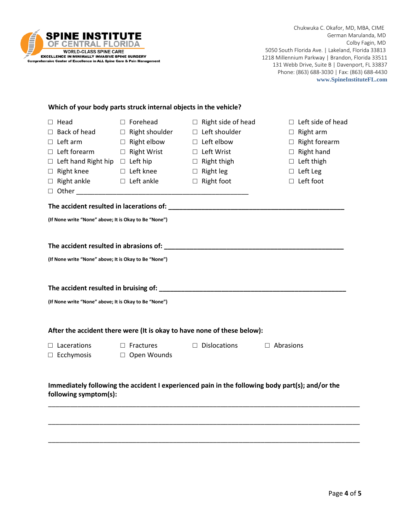

## **Which of your body parts struck internal objects in the vehicle?**

| $\Box$ Forehead                                       | $\Box$ Right side of head                                                                                      | $\Box$ Left side of head                                                                                                                                                                                                                                                                    |
|-------------------------------------------------------|----------------------------------------------------------------------------------------------------------------|---------------------------------------------------------------------------------------------------------------------------------------------------------------------------------------------------------------------------------------------------------------------------------------------|
|                                                       | $\Box$ Left shoulder                                                                                           | $\Box$ Right arm                                                                                                                                                                                                                                                                            |
| $\Box$ Right elbow                                    | $\Box$ Left elbow                                                                                              | $\Box$ Right forearm                                                                                                                                                                                                                                                                        |
|                                                       | $\Box$ Left Wrist                                                                                              | $\Box$ Right hand                                                                                                                                                                                                                                                                           |
|                                                       | $\Box$ Right thigh                                                                                             | $\Box$ Left thigh                                                                                                                                                                                                                                                                           |
|                                                       | $\Box$ Right leg                                                                                               | $\Box$ Left Leg                                                                                                                                                                                                                                                                             |
| $\Box$ Right ankle $\Box$ Left ankle                  | $\Box$ Right foot                                                                                              | $\Box$ Left foot                                                                                                                                                                                                                                                                            |
|                                                       |                                                                                                                |                                                                                                                                                                                                                                                                                             |
|                                                       |                                                                                                                |                                                                                                                                                                                                                                                                                             |
| (If None write "None" above; It is Okay to Be "None") |                                                                                                                |                                                                                                                                                                                                                                                                                             |
|                                                       |                                                                                                                |                                                                                                                                                                                                                                                                                             |
|                                                       |                                                                                                                |                                                                                                                                                                                                                                                                                             |
|                                                       |                                                                                                                |                                                                                                                                                                                                                                                                                             |
|                                                       |                                                                                                                |                                                                                                                                                                                                                                                                                             |
|                                                       |                                                                                                                |                                                                                                                                                                                                                                                                                             |
|                                                       |                                                                                                                |                                                                                                                                                                                                                                                                                             |
|                                                       |                                                                                                                |                                                                                                                                                                                                                                                                                             |
|                                                       |                                                                                                                |                                                                                                                                                                                                                                                                                             |
|                                                       |                                                                                                                |                                                                                                                                                                                                                                                                                             |
|                                                       |                                                                                                                |                                                                                                                                                                                                                                                                                             |
| $\Box$ Fractures                                      | $\Box$ Dislocations                                                                                            | $\Box$ Abrasions                                                                                                                                                                                                                                                                            |
| $\Box$ Open Wounds                                    |                                                                                                                |                                                                                                                                                                                                                                                                                             |
|                                                       |                                                                                                                |                                                                                                                                                                                                                                                                                             |
|                                                       |                                                                                                                |                                                                                                                                                                                                                                                                                             |
|                                                       |                                                                                                                |                                                                                                                                                                                                                                                                                             |
| following symptom(s):                                 |                                                                                                                |                                                                                                                                                                                                                                                                                             |
|                                                       |                                                                                                                |                                                                                                                                                                                                                                                                                             |
|                                                       | (If None write "None" above; It is Okay to Be "None")<br>(If None write "None" above; It is Okay to Be "None") | $\Box$ Right shoulder<br>$\Box$ Right Wrist<br>$\Box$ Left hand Right hip $\Box$ Left hip<br>$\Box$ Left knee<br>After the accident there were (It is okay to have none of these below):<br>Immediately following the accident I experienced pain in the following body part(s); and/or the |

\_\_\_\_\_\_\_\_\_\_\_\_\_\_\_\_\_\_\_\_\_\_\_\_\_\_\_\_\_\_\_\_\_\_\_\_\_\_\_\_\_\_\_\_\_\_\_\_\_\_\_\_\_\_\_\_\_\_\_\_\_\_\_\_\_\_\_\_\_\_\_\_\_\_\_\_\_\_\_\_\_\_\_\_\_

\_\_\_\_\_\_\_\_\_\_\_\_\_\_\_\_\_\_\_\_\_\_\_\_\_\_\_\_\_\_\_\_\_\_\_\_\_\_\_\_\_\_\_\_\_\_\_\_\_\_\_\_\_\_\_\_\_\_\_\_\_\_\_\_\_\_\_\_\_\_\_\_\_\_\_\_\_\_\_\_\_\_\_\_\_